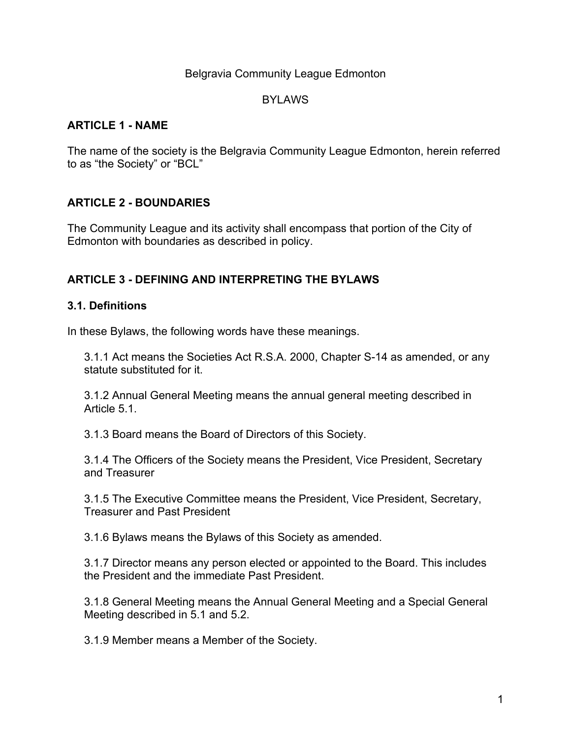### Belgravia Community League Edmonton

## BYLAWS

# **ARTICLE 1 - NAME**

The name of the society is the Belgravia Community League Edmonton, herein referred to as "the Society" or "BCL"

# **ARTICLE 2 - BOUNDARIES**

The Community League and its activity shall encompass that portion of the City of Edmonton with boundaries as described in policy.

# **ARTICLE 3 - DEFINING AND INTERPRETING THE BYLAWS**

### **3.1. Definitions**

In these Bylaws, the following words have these meanings.

3.1.1 Act means the Societies Act R.S.A. 2000, Chapter S-14 as amended, or any statute substituted for it.

3.1.2 Annual General Meeting means the annual general meeting described in Article 5.1.

3.1.3 Board means the Board of Directors of this Society.

3.1.4 The Officers of the Society means the President, Vice President, Secretary and Treasurer

3.1.5 The Executive Committee means the President, Vice President, Secretary, Treasurer and Past President

3.1.6 Bylaws means the Bylaws of this Society as amended.

3.1.7 Director means any person elected or appointed to the Board. This includes the President and the immediate Past President.

3.1.8 General Meeting means the Annual General Meeting and a Special General Meeting described in 5.1 and 5.2.

3.1.9 Member means a Member of the Society.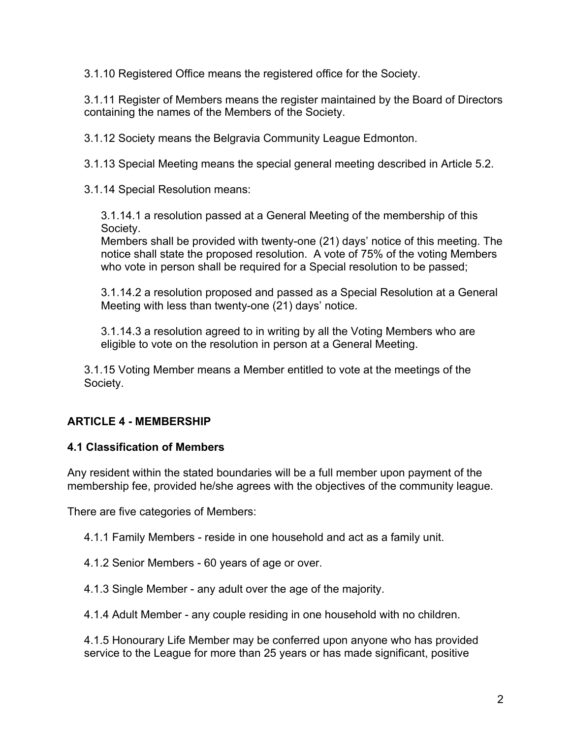3.1.10 Registered Office means the registered office for the Society.

3.1.11 Register of Members means the register maintained by the Board of Directors containing the names of the Members of the Society.

3.1.12 Society means the Belgravia Community League Edmonton.

3.1.13 Special Meeting means the special general meeting described in Article 5.2.

3.1.14 Special Resolution means:

3.1.14.1 a resolution passed at a General Meeting of the membership of this Society.

Members shall be provided with twenty-one (21) days' notice of this meeting. The notice shall state the proposed resolution. A vote of 75% of the voting Members who vote in person shall be required for a Special resolution to be passed;

3.1.14.2 a resolution proposed and passed as a Special Resolution at a General Meeting with less than twenty-one (21) days' notice.

3.1.14.3 a resolution agreed to in writing by all the Voting Members who are eligible to vote on the resolution in person at a General Meeting.

3.1.15 Voting Member means a Member entitled to vote at the meetings of the Society.

# **ARTICLE 4 - MEMBERSHIP**

### **4.1 Classification of Members**

Any resident within the stated boundaries will be a full member upon payment of the membership fee, provided he/she agrees with the objectives of the community league.

There are five categories of Members:

4.1.1 Family Members - reside in one household and act as a family unit.

4.1.2 Senior Members - 60 years of age or over.

4.1.3 Single Member - any adult over the age of the majority.

4.1.4 Adult Member - any couple residing in one household with no children.

4.1.5 Honourary Life Member may be conferred upon anyone who has provided service to the League for more than 25 years or has made significant, positive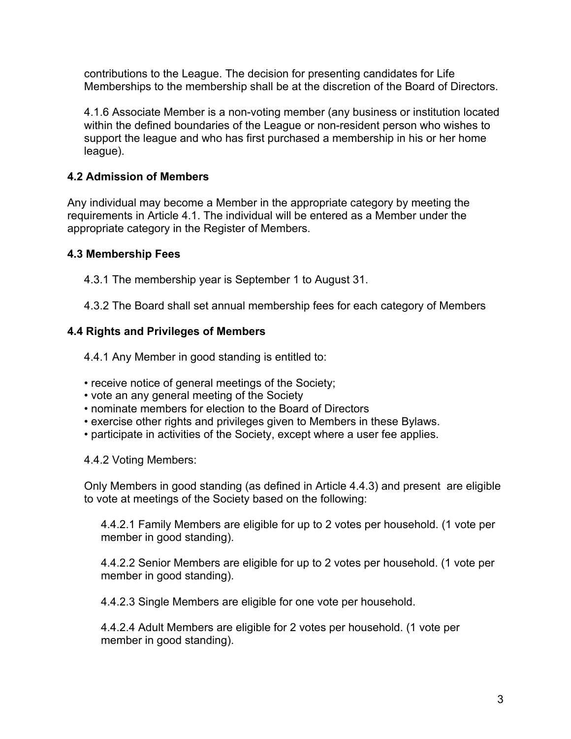contributions to the League. The decision for presenting candidates for Life Memberships to the membership shall be at the discretion of the Board of Directors.

4.1.6 Associate Member is a non-voting member (any business or institution located within the defined boundaries of the League or non-resident person who wishes to support the league and who has first purchased a membership in his or her home league).

# **4.2 Admission of Members**

Any individual may become a Member in the appropriate category by meeting the requirements in Article 4.1. The individual will be entered as a Member under the appropriate category in the Register of Members.

# **4.3 Membership Fees**

4.3.1 The membership year is September 1 to August 31.

4.3.2 The Board shall set annual membership fees for each category of Members

# **4.4 Rights and Privileges of Members**

4.4.1 Any Member in good standing is entitled to:

- receive notice of general meetings of the Society;
- vote an any general meeting of the Society
- nominate members for election to the Board of Directors
- exercise other rights and privileges given to Members in these Bylaws.
- participate in activities of the Society, except where a user fee applies.

4.4.2 Voting Members:

Only Members in good standing (as defined in Article 4.4.3) and present are eligible to vote at meetings of the Society based on the following:

4.4.2.1 Family Members are eligible for up to 2 votes per household. (1 vote per member in good standing).

4.4.2.2 Senior Members are eligible for up to 2 votes per household. (1 vote per member in good standing).

4.4.2.3 Single Members are eligible for one vote per household.

4.4.2.4 Adult Members are eligible for 2 votes per household. (1 vote per member in good standing).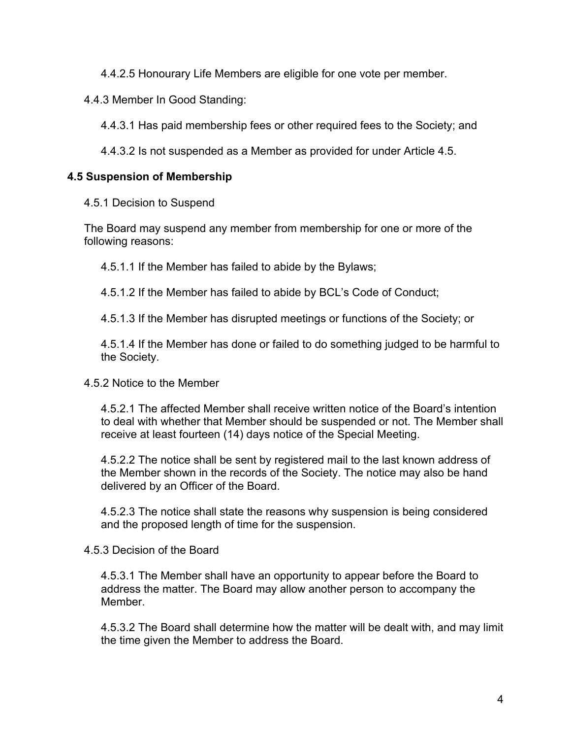4.4.2.5 Honourary Life Members are eligible for one vote per member.

4.4.3 Member In Good Standing:

4.4.3.1 Has paid membership fees or other required fees to the Society; and

4.4.3.2 Is not suspended as a Member as provided for under Article 4.5.

# **4.5 Suspension of Membership**

4.5.1 Decision to Suspend

The Board may suspend any member from membership for one or more of the following reasons:

4.5.1.1 If the Member has failed to abide by the Bylaws;

4.5.1.2 If the Member has failed to abide by BCL's Code of Conduct;

4.5.1.3 If the Member has disrupted meetings or functions of the Society; or

4.5.1.4 If the Member has done or failed to do something judged to be harmful to the Society.

### 4.5.2 Notice to the Member

4.5.2.1 The affected Member shall receive written notice of the Board's intention to deal with whether that Member should be suspended or not. The Member shall receive at least fourteen (14) days notice of the Special Meeting.

4.5.2.2 The notice shall be sent by registered mail to the last known address of the Member shown in the records of the Society. The notice may also be hand delivered by an Officer of the Board.

4.5.2.3 The notice shall state the reasons why suspension is being considered and the proposed length of time for the suspension.

4.5.3 Decision of the Board

4.5.3.1 The Member shall have an opportunity to appear before the Board to address the matter. The Board may allow another person to accompany the Member.

4.5.3.2 The Board shall determine how the matter will be dealt with, and may limit the time given the Member to address the Board.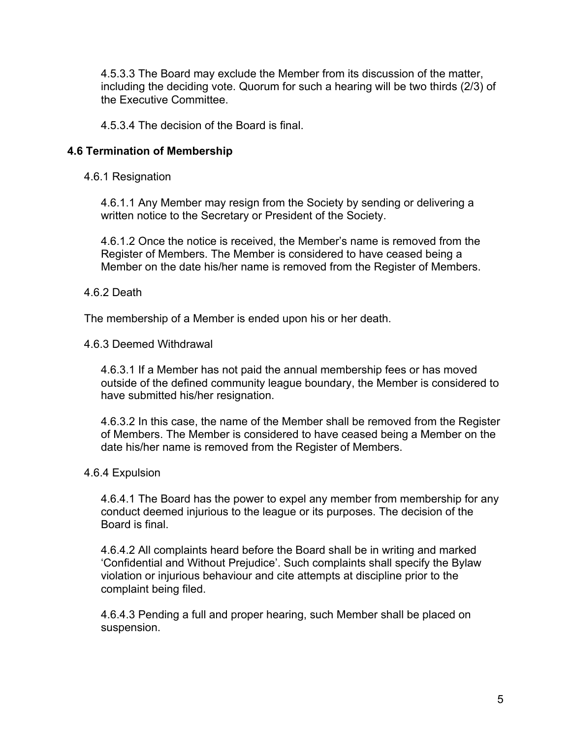4.5.3.3 The Board may exclude the Member from its discussion of the matter, including the deciding vote. Quorum for such a hearing will be two thirds (2/3) of the Executive Committee.

4.5.3.4 The decision of the Board is final.

# **4.6 Termination of Membership**

4.6.1 Resignation

4.6.1.1 Any Member may resign from the Society by sending or delivering a written notice to the Secretary or President of the Society.

4.6.1.2 Once the notice is received, the Member's name is removed from the Register of Members. The Member is considered to have ceased being a Member on the date his/her name is removed from the Register of Members.

## 4.6.2 Death

The membership of a Member is ended upon his or her death.

### 4.6.3 Deemed Withdrawal

4.6.3.1 If a Member has not paid the annual membership fees or has moved outside of the defined community league boundary, the Member is considered to have submitted his/her resignation.

4.6.3.2 In this case, the name of the Member shall be removed from the Register of Members. The Member is considered to have ceased being a Member on the date his/her name is removed from the Register of Members.

### 4.6.4 Expulsion

4.6.4.1 The Board has the power to expel any member from membership for any conduct deemed injurious to the league or its purposes. The decision of the Board is final.

4.6.4.2 All complaints heard before the Board shall be in writing and marked 'Confidential and Without Prejudice'. Such complaints shall specify the Bylaw violation or injurious behaviour and cite attempts at discipline prior to the complaint being filed.

4.6.4.3 Pending a full and proper hearing, such Member shall be placed on suspension.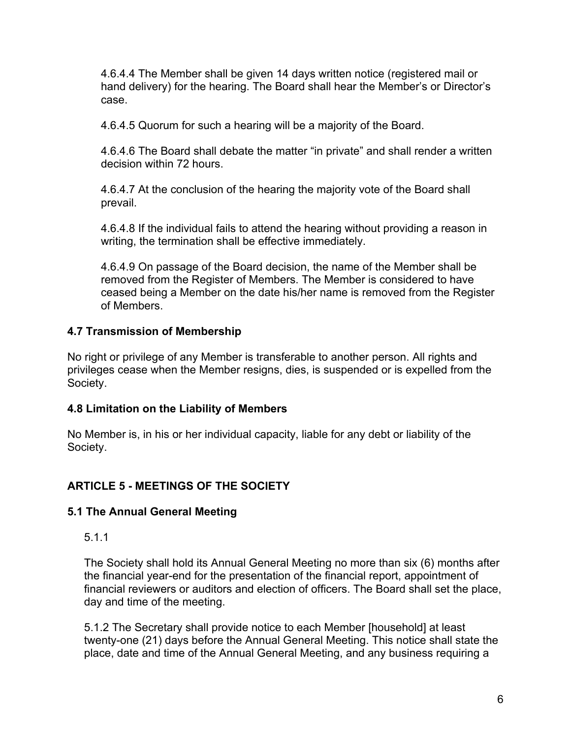4.6.4.4 The Member shall be given 14 days written notice (registered mail or hand delivery) for the hearing. The Board shall hear the Member's or Director's case.

4.6.4.5 Quorum for such a hearing will be a majority of the Board.

4.6.4.6 The Board shall debate the matter "in private" and shall render a written decision within 72 hours.

4.6.4.7 At the conclusion of the hearing the majority vote of the Board shall prevail.

4.6.4.8 If the individual fails to attend the hearing without providing a reason in writing, the termination shall be effective immediately.

4.6.4.9 On passage of the Board decision, the name of the Member shall be removed from the Register of Members. The Member is considered to have ceased being a Member on the date his/her name is removed from the Register of Members.

# **4.7 Transmission of Membership**

No right or privilege of any Member is transferable to another person. All rights and privileges cease when the Member resigns, dies, is suspended or is expelled from the Society.

# **4.8 Limitation on the Liability of Members**

No Member is, in his or her individual capacity, liable for any debt or liability of the Society.

# **ARTICLE 5 - MEETINGS OF THE SOCIETY**

# **5.1 The Annual General Meeting**

5.1.1

The Society shall hold its Annual General Meeting no more than six (6) months after the financial year-end for the presentation of the financial report, appointment of financial reviewers or auditors and election of officers. The Board shall set the place, day and time of the meeting.

5.1.2 The Secretary shall provide notice to each Member [household] at least twenty-one (21) days before the Annual General Meeting. This notice shall state the place, date and time of the Annual General Meeting, and any business requiring a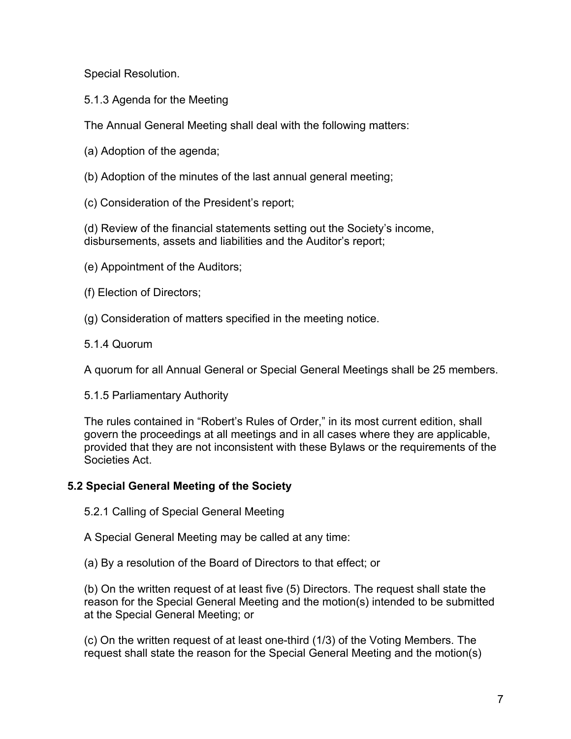Special Resolution.

5.1.3 Agenda for the Meeting

The Annual General Meeting shall deal with the following matters:

- (a) Adoption of the agenda;
- (b) Adoption of the minutes of the last annual general meeting;
- (c) Consideration of the President's report;

(d) Review of the financial statements setting out the Society's income, disbursements, assets and liabilities and the Auditor's report;

- (e) Appointment of the Auditors;
- (f) Election of Directors;
- (g) Consideration of matters specified in the meeting notice.
- 5.1.4 Quorum

A quorum for all Annual General or Special General Meetings shall be 25 members.

5.1.5 Parliamentary Authority

The rules contained in "Robert's Rules of Order," in its most current edition, shall govern the proceedings at all meetings and in all cases where they are applicable, provided that they are not inconsistent with these Bylaws or the requirements of the Societies Act.

# **5.2 Special General Meeting of the Society**

5.2.1 Calling of Special General Meeting

A Special General Meeting may be called at any time:

(a) By a resolution of the Board of Directors to that effect; or

(b) On the written request of at least five (5) Directors. The request shall state the reason for the Special General Meeting and the motion(s) intended to be submitted at the Special General Meeting; or

(c) On the written request of at least one-third (1/3) of the Voting Members. The request shall state the reason for the Special General Meeting and the motion(s)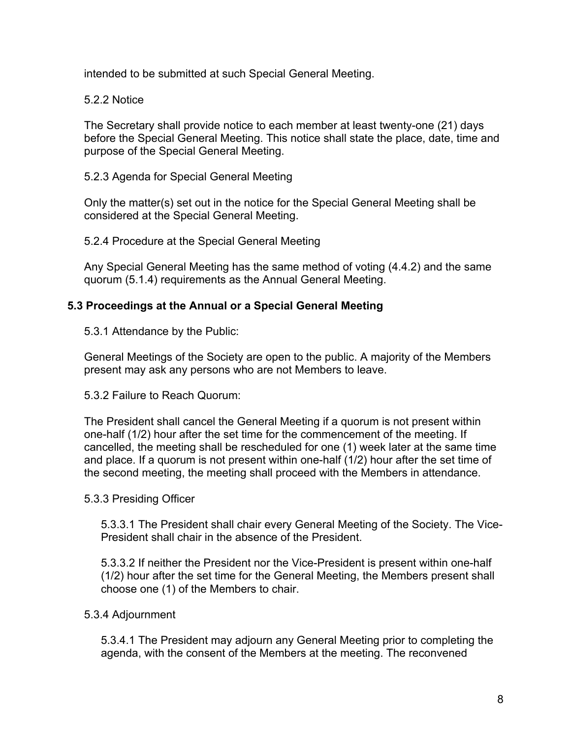intended to be submitted at such Special General Meeting.

5.2.2 Notice

The Secretary shall provide notice to each member at least twenty-one (21) days before the Special General Meeting. This notice shall state the place, date, time and purpose of the Special General Meeting.

5.2.3 Agenda for Special General Meeting

Only the matter(s) set out in the notice for the Special General Meeting shall be considered at the Special General Meeting.

5.2.4 Procedure at the Special General Meeting

Any Special General Meeting has the same method of voting (4.4.2) and the same quorum (5.1.4) requirements as the Annual General Meeting.

# **5.3 Proceedings at the Annual or a Special General Meeting**

5.3.1 Attendance by the Public:

General Meetings of the Society are open to the public. A majority of the Members present may ask any persons who are not Members to leave.

5.3.2 Failure to Reach Quorum:

The President shall cancel the General Meeting if a quorum is not present within one-half (1/2) hour after the set time for the commencement of the meeting. If cancelled, the meeting shall be rescheduled for one (1) week later at the same time and place. If a quorum is not present within one-half (1/2) hour after the set time of the second meeting, the meeting shall proceed with the Members in attendance.

# 5.3.3 Presiding Officer

5.3.3.1 The President shall chair every General Meeting of the Society. The Vice-President shall chair in the absence of the President.

5.3.3.2 If neither the President nor the Vice-President is present within one-half (1/2) hour after the set time for the General Meeting, the Members present shall choose one (1) of the Members to chair.

# 5.3.4 Adjournment

5.3.4.1 The President may adjourn any General Meeting prior to completing the agenda, with the consent of the Members at the meeting. The reconvened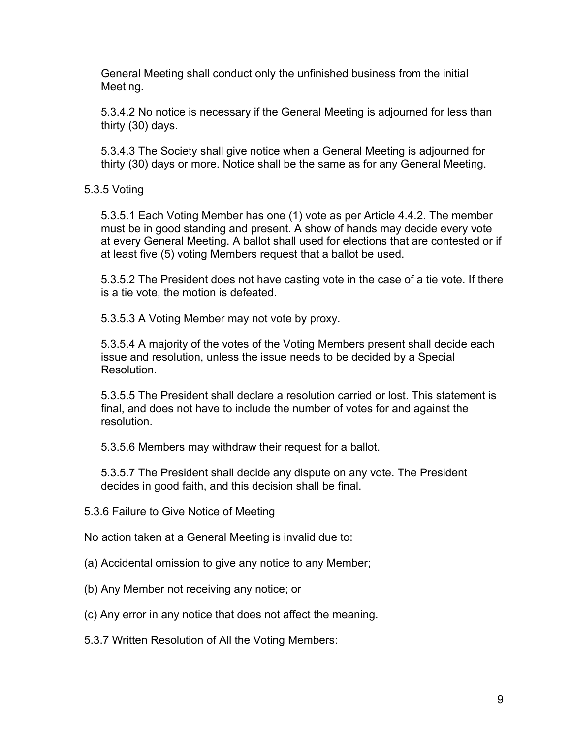General Meeting shall conduct only the unfinished business from the initial Meeting.

5.3.4.2 No notice is necessary if the General Meeting is adjourned for less than thirty (30) days.

5.3.4.3 The Society shall give notice when a General Meeting is adjourned for thirty (30) days or more. Notice shall be the same as for any General Meeting.

5.3.5 Voting

5.3.5.1 Each Voting Member has one (1) vote as per Article 4.4.2. The member must be in good standing and present. A show of hands may decide every vote at every General Meeting. A ballot shall used for elections that are contested or if at least five (5) voting Members request that a ballot be used.

5.3.5.2 The President does not have casting vote in the case of a tie vote. If there is a tie vote, the motion is defeated.

5.3.5.3 A Voting Member may not vote by proxy.

5.3.5.4 A majority of the votes of the Voting Members present shall decide each issue and resolution, unless the issue needs to be decided by a Special Resolution.

5.3.5.5 The President shall declare a resolution carried or lost. This statement is final, and does not have to include the number of votes for and against the resolution.

5.3.5.6 Members may withdraw their request for a ballot.

5.3.5.7 The President shall decide any dispute on any vote. The President decides in good faith, and this decision shall be final.

5.3.6 Failure to Give Notice of Meeting

No action taken at a General Meeting is invalid due to:

- (a) Accidental omission to give any notice to any Member;
- (b) Any Member not receiving any notice; or
- (c) Any error in any notice that does not affect the meaning.
- 5.3.7 Written Resolution of All the Voting Members: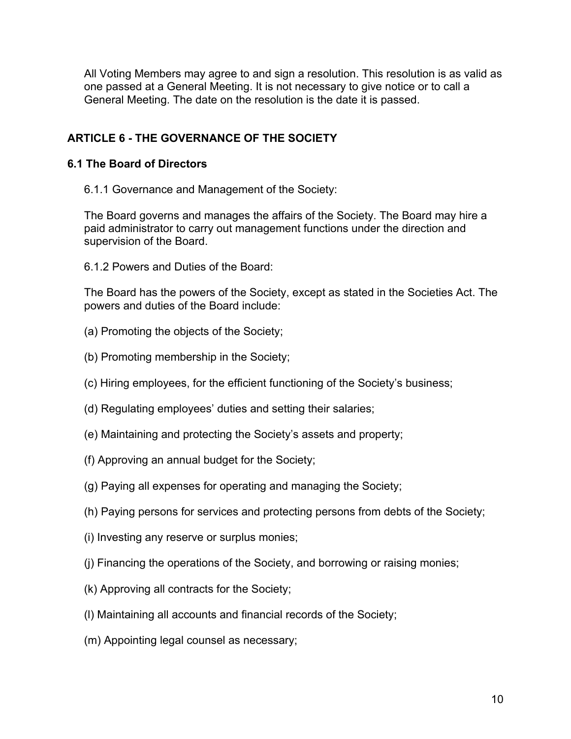All Voting Members may agree to and sign a resolution. This resolution is as valid as one passed at a General Meeting. It is not necessary to give notice or to call a General Meeting. The date on the resolution is the date it is passed.

# **ARTICLE 6 - THE GOVERNANCE OF THE SOCIETY**

# **6.1 The Board of Directors**

6.1.1 Governance and Management of the Society:

The Board governs and manages the affairs of the Society. The Board may hire a paid administrator to carry out management functions under the direction and supervision of the Board.

6.1.2 Powers and Duties of the Board:

The Board has the powers of the Society, except as stated in the Societies Act. The powers and duties of the Board include:

- (a) Promoting the objects of the Society;
- (b) Promoting membership in the Society;
- (c) Hiring employees, for the efficient functioning of the Society's business;
- (d) Regulating employees' duties and setting their salaries;
- (e) Maintaining and protecting the Society's assets and property;
- (f) Approving an annual budget for the Society;
- (g) Paying all expenses for operating and managing the Society;
- (h) Paying persons for services and protecting persons from debts of the Society;
- (i) Investing any reserve or surplus monies;
- (j) Financing the operations of the Society, and borrowing or raising monies;
- (k) Approving all contracts for the Society;
- (l) Maintaining all accounts and financial records of the Society;
- (m) Appointing legal counsel as necessary;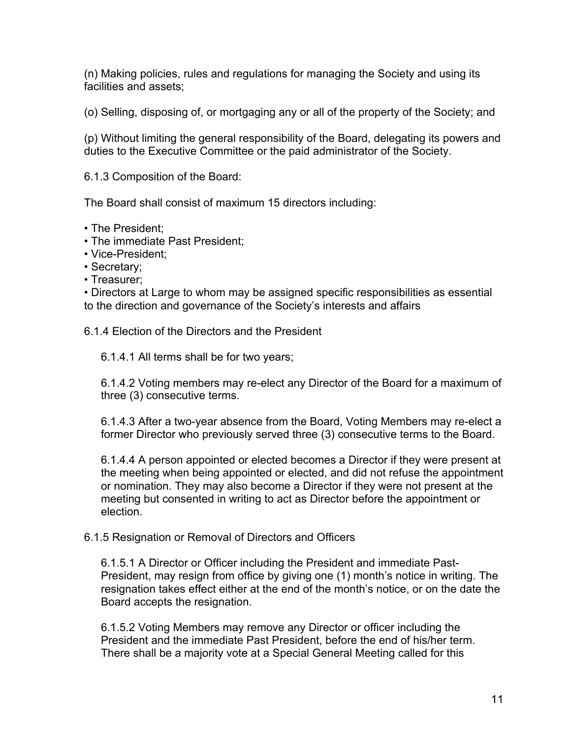(n) Making policies, rules and regulations for managing the Society and using its facilities and assets;

(o) Selling, disposing of, or mortgaging any or all of the property of the Society; and

(p) Without limiting the general responsibility of the Board, delegating its powers and duties to the Executive Committee or the paid administrator of the Society.

6.1.3 Composition of the Board:

The Board shall consist of maximum 15 directors including:

- The President;
- The immediate Past President;
- Vice-President;
- Secretary;
- Treasurer;

• Directors at Large to whom may be assigned specific responsibilities as essential to the direction and governance of the Society's interests and affairs

6.1.4 Election of the Directors and the President

6.1.4.1 All terms shall be for two years;

6.1.4.2 Voting members may re-elect any Director of the Board for a maximum of three (3) consecutive terms.

6.1.4.3 After a two-year absence from the Board, Voting Members may re-elect a former Director who previously served three (3) consecutive terms to the Board.

6.1.4.4 A person appointed or elected becomes a Director if they were present at the meeting when being appointed or elected, and did not refuse the appointment or nomination. They may also become a Director if they were not present at the meeting but consented in writing to act as Director before the appointment or election.

### 6.1.5 Resignation or Removal of Directors and Officers

6.1.5.1 A Director or Officer including the President and immediate Past-President, may resign from office by giving one (1) month's notice in writing. The resignation takes effect either at the end of the month's notice, or on the date the Board accepts the resignation.

6.1.5.2 Voting Members may remove any Director or officer including the President and the immediate Past President, before the end of his/her term. There shall be a majority vote at a Special General Meeting called for this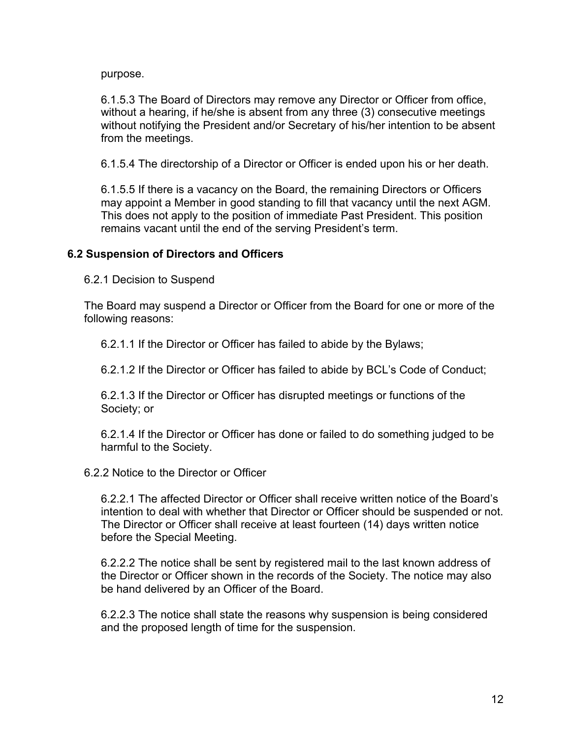purpose.

6.1.5.3 The Board of Directors may remove any Director or Officer from office, without a hearing, if he/she is absent from any three (3) consecutive meetings without notifying the President and/or Secretary of his/her intention to be absent from the meetings.

6.1.5.4 The directorship of a Director or Officer is ended upon his or her death.

6.1.5.5 If there is a vacancy on the Board, the remaining Directors or Officers may appoint a Member in good standing to fill that vacancy until the next AGM. This does not apply to the position of immediate Past President. This position remains vacant until the end of the serving President's term.

### **6.2 Suspension of Directors and Officers**

6.2.1 Decision to Suspend

The Board may suspend a Director or Officer from the Board for one or more of the following reasons:

6.2.1.1 If the Director or Officer has failed to abide by the Bylaws;

6.2.1.2 If the Director or Officer has failed to abide by BCL's Code of Conduct;

6.2.1.3 If the Director or Officer has disrupted meetings or functions of the Society; or

6.2.1.4 If the Director or Officer has done or failed to do something judged to be harmful to the Society.

6.2.2 Notice to the Director or Officer

6.2.2.1 The affected Director or Officer shall receive written notice of the Board's intention to deal with whether that Director or Officer should be suspended or not. The Director or Officer shall receive at least fourteen (14) days written notice before the Special Meeting.

6.2.2.2 The notice shall be sent by registered mail to the last known address of the Director or Officer shown in the records of the Society. The notice may also be hand delivered by an Officer of the Board.

6.2.2.3 The notice shall state the reasons why suspension is being considered and the proposed length of time for the suspension.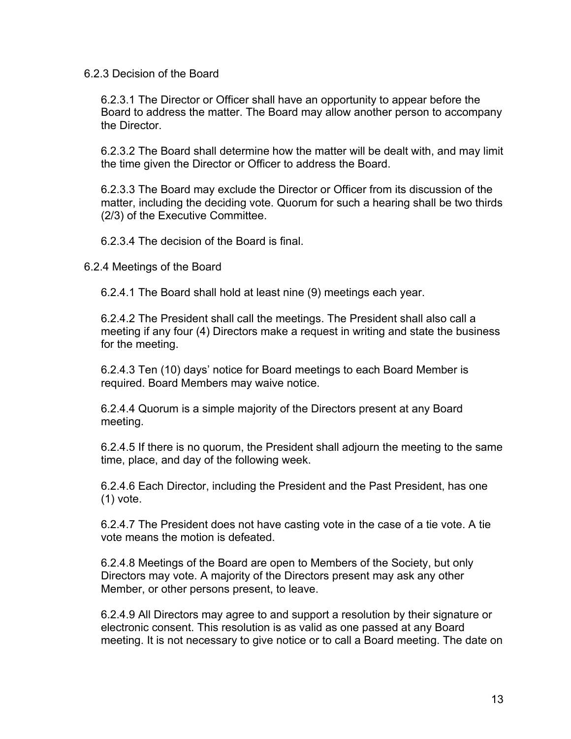#### 6.2.3 Decision of the Board

6.2.3.1 The Director or Officer shall have an opportunity to appear before the Board to address the matter. The Board may allow another person to accompany the Director.

6.2.3.2 The Board shall determine how the matter will be dealt with, and may limit the time given the Director or Officer to address the Board.

6.2.3.3 The Board may exclude the Director or Officer from its discussion of the matter, including the deciding vote. Quorum for such a hearing shall be two thirds (2/3) of the Executive Committee.

6.2.3.4 The decision of the Board is final.

6.2.4 Meetings of the Board

6.2.4.1 The Board shall hold at least nine (9) meetings each year.

6.2.4.2 The President shall call the meetings. The President shall also call a meeting if any four (4) Directors make a request in writing and state the business for the meeting.

6.2.4.3 Ten (10) days' notice for Board meetings to each Board Member is required. Board Members may waive notice.

6.2.4.4 Quorum is a simple majority of the Directors present at any Board meeting.

6.2.4.5 If there is no quorum, the President shall adjourn the meeting to the same time, place, and day of the following week.

6.2.4.6 Each Director, including the President and the Past President, has one (1) vote.

6.2.4.7 The President does not have casting vote in the case of a tie vote. A tie vote means the motion is defeated.

6.2.4.8 Meetings of the Board are open to Members of the Society, but only Directors may vote. A majority of the Directors present may ask any other Member, or other persons present, to leave.

6.2.4.9 All Directors may agree to and support a resolution by their signature or electronic consent. This resolution is as valid as one passed at any Board meeting. It is not necessary to give notice or to call a Board meeting. The date on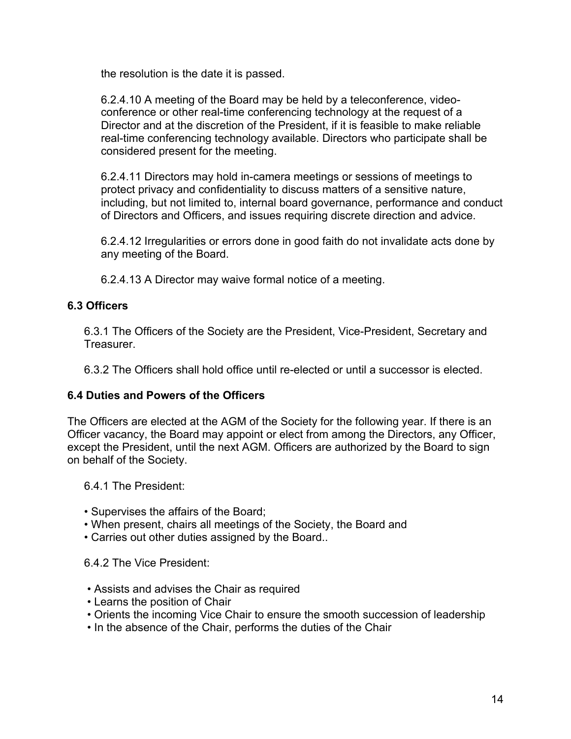the resolution is the date it is passed.

6.2.4.10 A meeting of the Board may be held by a teleconference, videoconference or other real-time conferencing technology at the request of a Director and at the discretion of the President, if it is feasible to make reliable real-time conferencing technology available. Directors who participate shall be considered present for the meeting.

6.2.4.11 Directors may hold in-camera meetings or sessions of meetings to protect privacy and confidentiality to discuss matters of a sensitive nature, including, but not limited to, internal board governance, performance and conduct of Directors and Officers, and issues requiring discrete direction and advice.

6.2.4.12 Irregularities or errors done in good faith do not invalidate acts done by any meeting of the Board.

6.2.4.13 A Director may waive formal notice of a meeting.

## **6.3 Officers**

6.3.1 The Officers of the Society are the President, Vice-President, Secretary and **Treasurer** 

6.3.2 The Officers shall hold office until re-elected or until a successor is elected.

### **6.4 Duties and Powers of the Officers**

The Officers are elected at the AGM of the Society for the following year. If there is an Officer vacancy, the Board may appoint or elect from among the Directors, any Officer, except the President, until the next AGM. Officers are authorized by the Board to sign on behalf of the Society.

6.4.1 The President:

- Supervises the affairs of the Board;
- When present, chairs all meetings of the Society, the Board and
- Carries out other duties assigned by the Board..

6.4.2 The Vice President:

- Assists and advises the Chair as required
- Learns the position of Chair
- Orients the incoming Vice Chair to ensure the smooth succession of leadership
- In the absence of the Chair, performs the duties of the Chair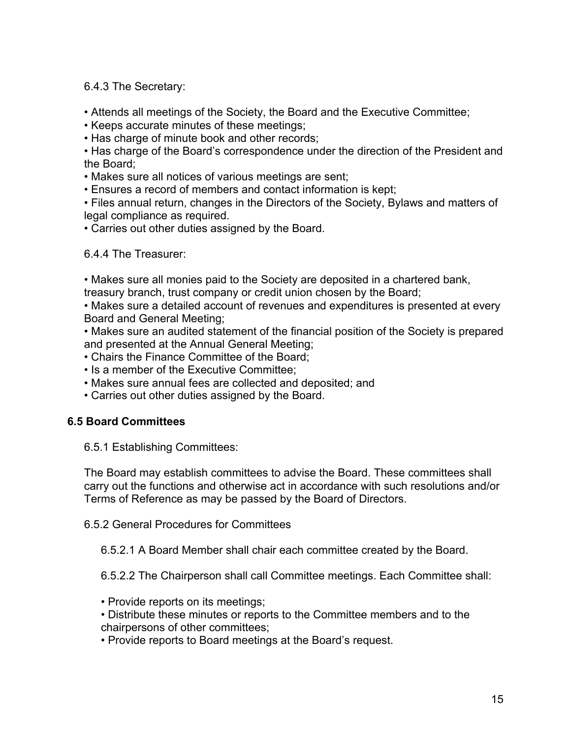6.4.3 The Secretary:

• Attends all meetings of the Society, the Board and the Executive Committee;

• Keeps accurate minutes of these meetings;

• Has charge of minute book and other records;

• Has charge of the Board's correspondence under the direction of the President and the Board;

• Makes sure all notices of various meetings are sent;

• Ensures a record of members and contact information is kept;

• Files annual return, changes in the Directors of the Society, Bylaws and matters of legal compliance as required.

• Carries out other duties assigned by the Board.

6.4.4 The Treasurer:

• Makes sure all monies paid to the Society are deposited in a chartered bank,

treasury branch, trust company or credit union chosen by the Board;

• Makes sure a detailed account of revenues and expenditures is presented at every Board and General Meeting;

• Makes sure an audited statement of the financial position of the Society is prepared and presented at the Annual General Meeting;

• Chairs the Finance Committee of the Board;

- Is a member of the Executive Committee;
- Makes sure annual fees are collected and deposited; and
- Carries out other duties assigned by the Board.

# **6.5 Board Committees**

6.5.1 Establishing Committees:

The Board may establish committees to advise the Board. These committees shall carry out the functions and otherwise act in accordance with such resolutions and/or Terms of Reference as may be passed by the Board of Directors.

6.5.2 General Procedures for Committees

6.5.2.1 A Board Member shall chair each committee created by the Board.

6.5.2.2 The Chairperson shall call Committee meetings. Each Committee shall:

- Provide reports on its meetings;
- Distribute these minutes or reports to the Committee members and to the chairpersons of other committees;

• Provide reports to Board meetings at the Board's request.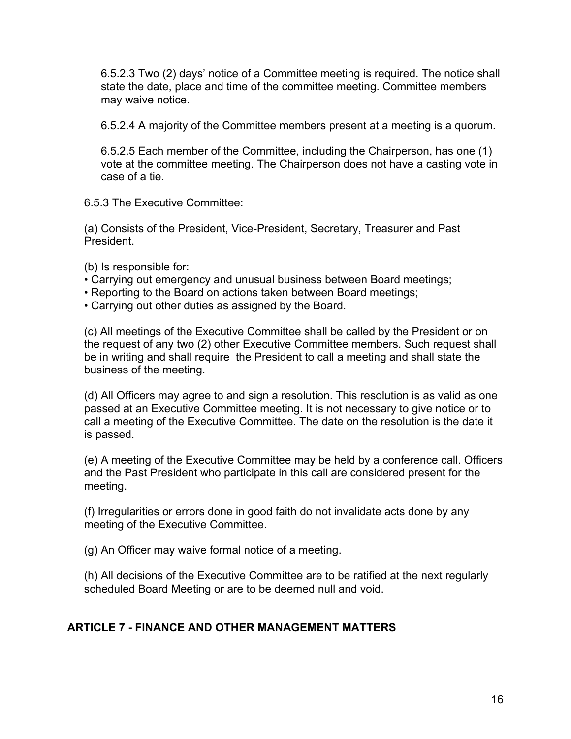6.5.2.3 Two (2) days' notice of a Committee meeting is required. The notice shall state the date, place and time of the committee meeting. Committee members may waive notice.

6.5.2.4 A majority of the Committee members present at a meeting is a quorum.

6.5.2.5 Each member of the Committee, including the Chairperson, has one (1) vote at the committee meeting. The Chairperson does not have a casting vote in case of a tie.

6.5.3 The Executive Committee:

(a) Consists of the President, Vice-President, Secretary, Treasurer and Past President.

(b) Is responsible for:

- Carrying out emergency and unusual business between Board meetings;
- Reporting to the Board on actions taken between Board meetings;
- Carrying out other duties as assigned by the Board.

(c) All meetings of the Executive Committee shall be called by the President or on the request of any two (2) other Executive Committee members. Such request shall be in writing and shall require the President to call a meeting and shall state the business of the meeting.

(d) All Officers may agree to and sign a resolution. This resolution is as valid as one passed at an Executive Committee meeting. It is not necessary to give notice or to call a meeting of the Executive Committee. The date on the resolution is the date it is passed.

(e) A meeting of the Executive Committee may be held by a conference call. Officers and the Past President who participate in this call are considered present for the meeting.

(f) Irregularities or errors done in good faith do not invalidate acts done by any meeting of the Executive Committee.

(g) An Officer may waive formal notice of a meeting.

(h) All decisions of the Executive Committee are to be ratified at the next regularly scheduled Board Meeting or are to be deemed null and void.

# **ARTICLE 7 - FINANCE AND OTHER MANAGEMENT MATTERS**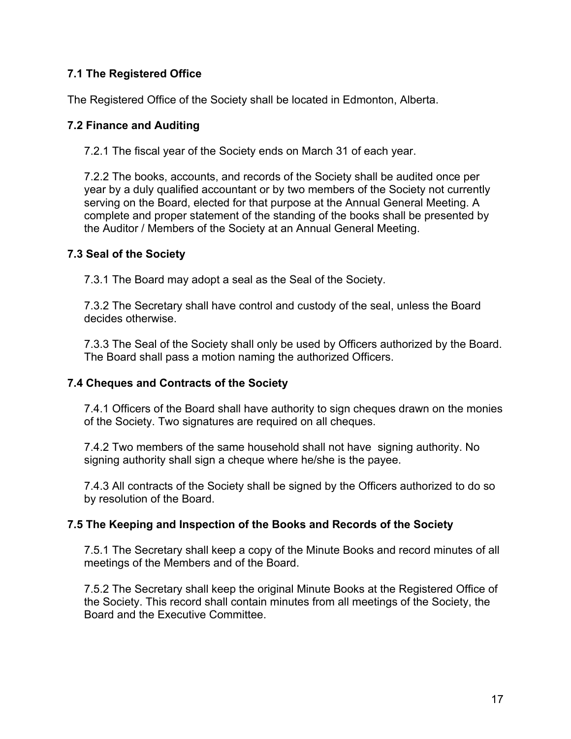# **7.1 The Registered Office**

The Registered Office of the Society shall be located in Edmonton, Alberta.

## **7.2 Finance and Auditing**

7.2.1 The fiscal year of the Society ends on March 31 of each year.

7.2.2 The books, accounts, and records of the Society shall be audited once per year by a duly qualified accountant or by two members of the Society not currently serving on the Board, elected for that purpose at the Annual General Meeting. A complete and proper statement of the standing of the books shall be presented by the Auditor / Members of the Society at an Annual General Meeting.

## **7.3 Seal of the Society**

7.3.1 The Board may adopt a seal as the Seal of the Society.

7.3.2 The Secretary shall have control and custody of the seal, unless the Board decides otherwise.

7.3.3 The Seal of the Society shall only be used by Officers authorized by the Board. The Board shall pass a motion naming the authorized Officers.

# **7.4 Cheques and Contracts of the Society**

7.4.1 Officers of the Board shall have authority to sign cheques drawn on the monies of the Society. Two signatures are required on all cheques.

7.4.2 Two members of the same household shall not have signing authority. No signing authority shall sign a cheque where he/she is the payee.

7.4.3 All contracts of the Society shall be signed by the Officers authorized to do so by resolution of the Board.

# **7.5 The Keeping and Inspection of the Books and Records of the Society**

7.5.1 The Secretary shall keep a copy of the Minute Books and record minutes of all meetings of the Members and of the Board.

7.5.2 The Secretary shall keep the original Minute Books at the Registered Office of the Society. This record shall contain minutes from all meetings of the Society, the Board and the Executive Committee.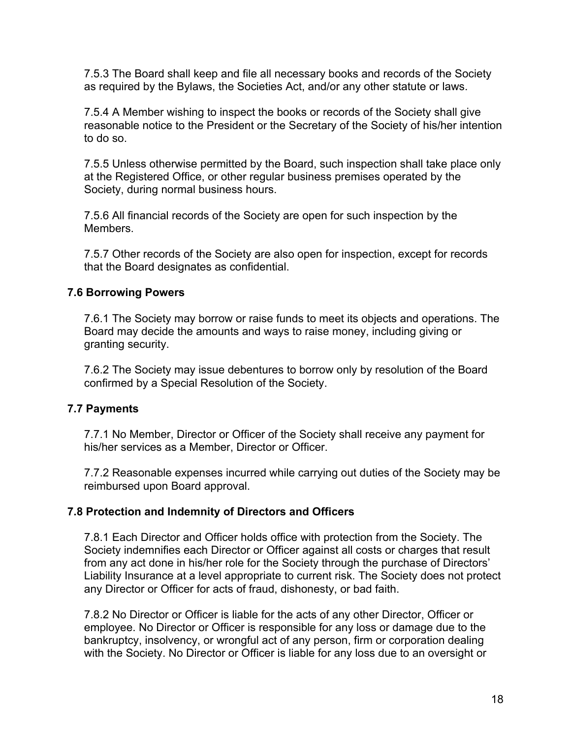7.5.3 The Board shall keep and file all necessary books and records of the Society as required by the Bylaws, the Societies Act, and/or any other statute or laws.

7.5.4 A Member wishing to inspect the books or records of the Society shall give reasonable notice to the President or the Secretary of the Society of his/her intention to do so.

7.5.5 Unless otherwise permitted by the Board, such inspection shall take place only at the Registered Office, or other regular business premises operated by the Society, during normal business hours.

7.5.6 All financial records of the Society are open for such inspection by the Members.

7.5.7 Other records of the Society are also open for inspection, except for records that the Board designates as confidential.

## **7.6 Borrowing Powers**

7.6.1 The Society may borrow or raise funds to meet its objects and operations. The Board may decide the amounts and ways to raise money, including giving or granting security.

7.6.2 The Society may issue debentures to borrow only by resolution of the Board confirmed by a Special Resolution of the Society.

# **7.7 Payments**

7.7.1 No Member, Director or Officer of the Society shall receive any payment for his/her services as a Member, Director or Officer.

7.7.2 Reasonable expenses incurred while carrying out duties of the Society may be reimbursed upon Board approval.

# **7.8 Protection and Indemnity of Directors and Officers**

7.8.1 Each Director and Officer holds office with protection from the Society. The Society indemnifies each Director or Officer against all costs or charges that result from any act done in his/her role for the Society through the purchase of Directors' Liability Insurance at a level appropriate to current risk. The Society does not protect any Director or Officer for acts of fraud, dishonesty, or bad faith.

7.8.2 No Director or Officer is liable for the acts of any other Director, Officer or employee. No Director or Officer is responsible for any loss or damage due to the bankruptcy, insolvency, or wrongful act of any person, firm or corporation dealing with the Society. No Director or Officer is liable for any loss due to an oversight or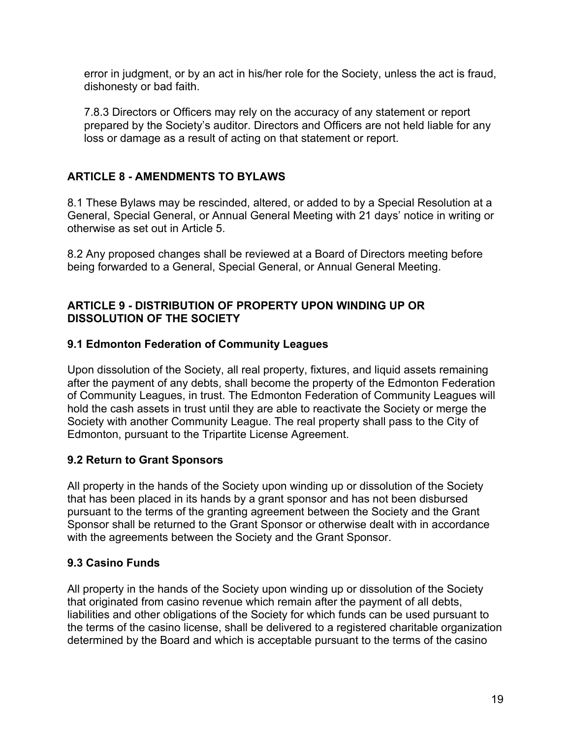error in judgment, or by an act in his/her role for the Society, unless the act is fraud, dishonesty or bad faith.

7.8.3 Directors or Officers may rely on the accuracy of any statement or report prepared by the Society's auditor. Directors and Officers are not held liable for any loss or damage as a result of acting on that statement or report.

# **ARTICLE 8 - AMENDMENTS TO BYLAWS**

8.1 These Bylaws may be rescinded, altered, or added to by a Special Resolution at a General, Special General, or Annual General Meeting with 21 days' notice in writing or otherwise as set out in Article 5.

8.2 Any proposed changes shall be reviewed at a Board of Directors meeting before being forwarded to a General, Special General, or Annual General Meeting.

## **ARTICLE 9 - DISTRIBUTION OF PROPERTY UPON WINDING UP OR DISSOLUTION OF THE SOCIETY**

# **9.1 Edmonton Federation of Community Leagues**

Upon dissolution of the Society, all real property, fixtures, and liquid assets remaining after the payment of any debts, shall become the property of the Edmonton Federation of Community Leagues, in trust. The Edmonton Federation of Community Leagues will hold the cash assets in trust until they are able to reactivate the Society or merge the Society with another Community League. The real property shall pass to the City of Edmonton, pursuant to the Tripartite License Agreement.

# **9.2 Return to Grant Sponsors**

All property in the hands of the Society upon winding up or dissolution of the Society that has been placed in its hands by a grant sponsor and has not been disbursed pursuant to the terms of the granting agreement between the Society and the Grant Sponsor shall be returned to the Grant Sponsor or otherwise dealt with in accordance with the agreements between the Society and the Grant Sponsor.

### **9.3 Casino Funds**

All property in the hands of the Society upon winding up or dissolution of the Society that originated from casino revenue which remain after the payment of all debts, liabilities and other obligations of the Society for which funds can be used pursuant to the terms of the casino license, shall be delivered to a registered charitable organization determined by the Board and which is acceptable pursuant to the terms of the casino